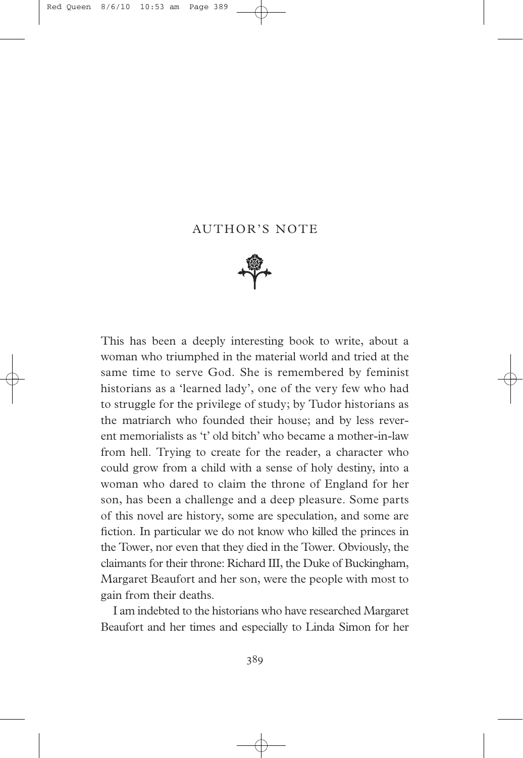## AUTHOR'S NOTE



This has been a deeply interesting book to write, about a woman who triumphed in the material world and tried at the same time to serve God. She is remembered by feminist historians as a 'learned lady', one of the very few who had to struggle for the privilege of study; by Tudor historians as the matriarch who founded their house; and by less reverent memorialists as 't' old bitch' who became a mother-in-law from hell. Trying to create for the reader, a character who could grow from a child with a sense of holy destiny, into a woman who dared to claim the throne of England for her son, has been a challenge and a deep pleasure. Some parts of this novel are history, some are speculation, and some are fiction. In particular we do not know who killed the princes in the Tower, nor even that they died in the Tower. Obviously, the claimants for their throne: Richard III, the Duke of Buckingham, Margaret Beaufort and her son, were the people with most to gain from their deaths.

I am indebted to the historians who have researched Margaret Beaufort and her times and especially to Linda Simon for her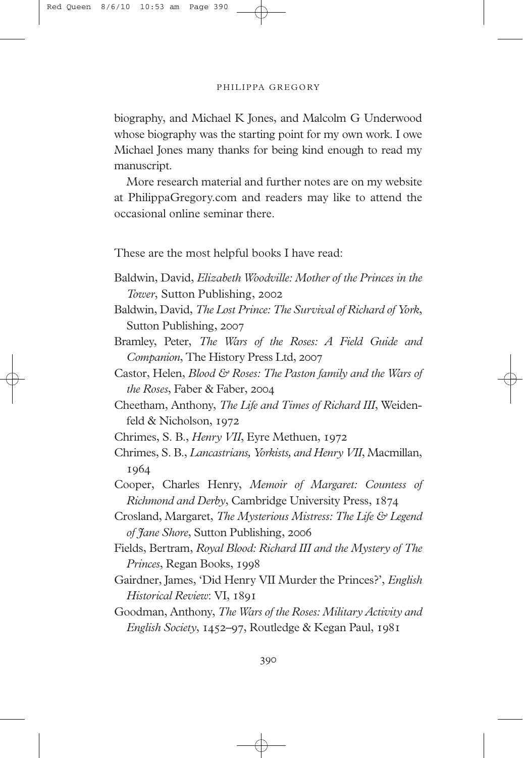## PHILIPPA GREGORY

biography, and Michael K Jones, and Malcolm G Underwood whose biography was the starting point for my own work. I owe Michael Jones many thanks for being kind enough to read my manuscript.

More research material and further notes are on my website at PhilippaGregory.com and readers may like to attend the occasional online seminar there.

These are the most helpful books I have read:

- Baldwin, David, *Elizabeth Woodville: Mother of the Princes in the Tower*, Sutton Publishing,
- Baldwin, David, *The Lost Prince: The Survival of Richard of York*, Sutton Publishing, 2007
- Bramley, Peter, *The Wars of the Roses: A Field Guide and Companion*, The History Press Ltd,
- Castor, Helen, *Blood & Roses: The Paston family and the Wars of the Roses*, Faber & Faber,
- Cheetham, Anthony, *The Life and Times of Richard III*, Weidenfeld & Nicholson,

Chrimes, S. B., *Henry VII*, Eyre Methuen,

- Chrimes, S. B., *Lancastrians, Yorkists, and Henry VII*, Macmillan, 1964
- Cooper, Charles Henry, *Memoir of Margaret: Countess of Richmond and Derby*, Cambridge University Press,
- Crosland, Margaret, *The Mysterious Mistress: The Life & Legend of Jane Shore*, Sutton Publishing,
- Fields, Bertram, *Royal Blood: Richard III and the Mystery of The Princes*, Regan Books,
- Gairdner, James, 'Did Henry VII Murder the Princes?', *English Historical Review*: VI,
- Goodman, Anthony, *The Wars of the Roses: Military Activity and English Society*, 1452–97, Routledge & Kegan Paul, 1981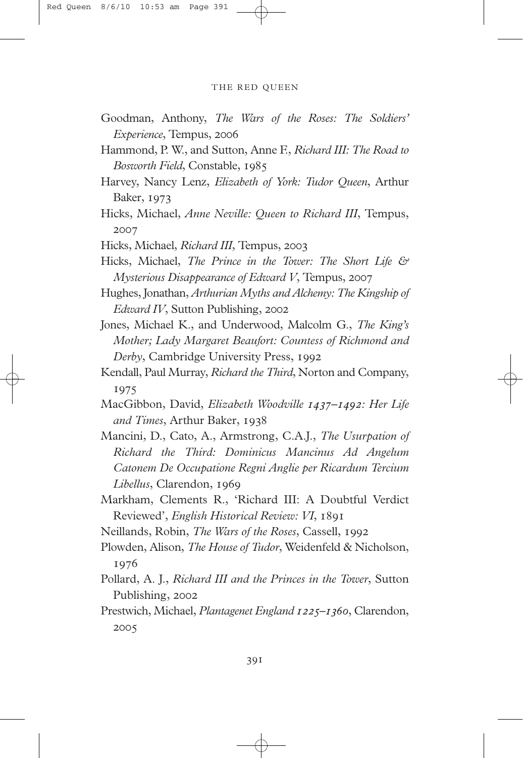## THE RED QUEEN

- Goodman, Anthony, *The Wars of the Roses: The Soldiers' Experience*, Tempus,
- Hammond, P. W., and Sutton, Anne F., *Richard III: The Road to Bosworth Field*, Constable,
- Harvey, Nancy Lenz, *Elizabeth of York: Tudor Queen*, Arthur **Baker**, 1973
- Hicks, Michael, *Anne Neville: Queen to Richard III*, Tempus, 2007

Hicks, Michael, *Richard III*, Tempus,

- Hicks, Michael, *The Prince in the Tower: The Short Life & Mysterious Disappearance of Edward V*, Tempus,
- Hughes, Jonathan, *Arthurian Myths and Alchemy: The Kingship of Edward IV*, Sutton Publishing,
- Jones, Michael K., and Underwood, Malcolm G., *The King's Mother; Lady Margaret Beaufort: Countess of Richmond and Derby*, Cambridge University Press,
- Kendall, Paul Murray, *Richard the Third*, Norton and Company, 1975
- MacGibbon, David, *Elizabeth Woodville –: Her Life and Times*, Arthur Baker,
- Mancini, D., Cato, A., Armstrong, C.A.J., *The Usurpation of Richard the Third: Dominicus Mancinus Ad Angelum Catonem De Occupatione Regni Anglie per Ricardum Tercium Libellus*, Clarendon,
- Markham, Clements R., 'Richard III: A Doubtful Verdict Reviewed', *English Historical Review: VI*,

Neillands, Robin, *The Wars of the Roses*, Cassell,

- Plowden, Alison, *The House of Tudor*, Weidenfeld & Nicholson, 1976
- Pollard, A. J., *Richard III and the Princes in the Tower*, Sutton Publishing, 2002
- Prestwich, Michael, *Plantagenet England*  $I225-1360$ , Clarendon, 2005